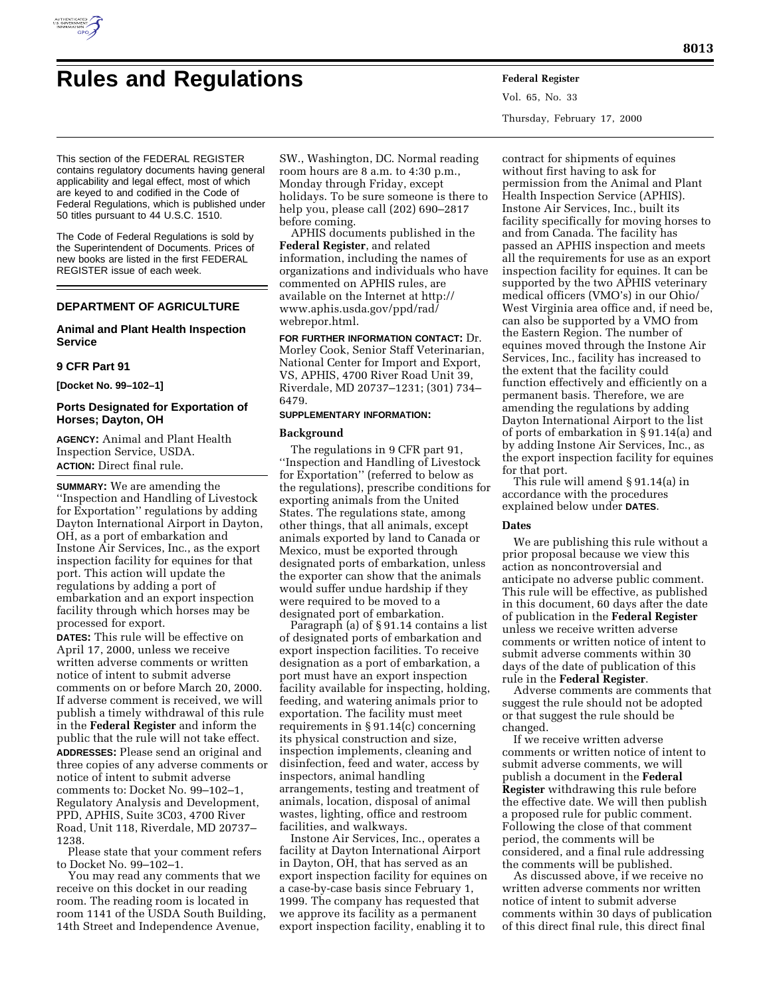

# **Rules and Regulations Federal Register**

Vol. 65, No. 33 Thursday, February 17, 2000

This section of the FEDERAL REGISTER contains regulatory documents having general applicability and legal effect, most of which are keyed to and codified in the Code of Federal Regulations, which is published under 50 titles pursuant to 44 U.S.C. 1510.

The Code of Federal Regulations is sold by the Superintendent of Documents. Prices of new books are listed in the first FEDERAL REGISTER issue of each week.

# **DEPARTMENT OF AGRICULTURE**

# **Animal and Plant Health Inspection Service**

## **9 CFR Part 91**

**[Docket No. 99–102–1]**

# **Ports Designated for Exportation of Horses; Dayton, OH**

**AGENCY:** Animal and Plant Health Inspection Service, USDA. **ACTION:** Direct final rule.

**SUMMARY:** We are amending the ''Inspection and Handling of Livestock for Exportation'' regulations by adding Dayton International Airport in Dayton, OH, as a port of embarkation and Instone Air Services, Inc., as the export inspection facility for equines for that port. This action will update the regulations by adding a port of embarkation and an export inspection facility through which horses may be processed for export.

**DATES:** This rule will be effective on April 17, 2000, unless we receive written adverse comments or written notice of intent to submit adverse comments on or before March 20, 2000. If adverse comment is received, we will publish a timely withdrawal of this rule in the **Federal Register** and inform the public that the rule will not take effect. **ADDRESSES:** Please send an original and three copies of any adverse comments or notice of intent to submit adverse comments to: Docket No. 99–102–1, Regulatory Analysis and Development, PPD, APHIS, Suite 3C03, 4700 River Road, Unit 118, Riverdale, MD 20737– 1238.

Please state that your comment refers to Docket No. 99–102–1.

You may read any comments that we receive on this docket in our reading room. The reading room is located in room 1141 of the USDA South Building, 14th Street and Independence Avenue,

SW., Washington, DC. Normal reading room hours are 8 a.m. to 4:30 p.m., Monday through Friday, except holidays. To be sure someone is there to help you, please call (202) 690–2817 before coming.

APHIS documents published in the **Federal Register**, and related information, including the names of organizations and individuals who have commented on APHIS rules, are available on the Internet at http:// www.aphis.usda.gov/ppd/rad/ webrepor.html.

**FOR FURTHER INFORMATION CONTACT:** Dr. Morley Cook, Senior Staff Veterinarian, National Center for Import and Export, VS, APHIS, 4700 River Road Unit 39, Riverdale, MD 20737–1231; (301) 734– 6479.

## **SUPPLEMENTARY INFORMATION:**

# **Background**

The regulations in 9 CFR part 91, ''Inspection and Handling of Livestock for Exportation'' (referred to below as the regulations), prescribe conditions for exporting animals from the United States. The regulations state, among other things, that all animals, except animals exported by land to Canada or Mexico, must be exported through designated ports of embarkation, unless the exporter can show that the animals would suffer undue hardship if they were required to be moved to a designated port of embarkation.

Paragraph (a) of § 91.14 contains a list of designated ports of embarkation and export inspection facilities. To receive designation as a port of embarkation, a port must have an export inspection facility available for inspecting, holding, feeding, and watering animals prior to exportation. The facility must meet requirements in § 91.14(c) concerning its physical construction and size, inspection implements, cleaning and disinfection, feed and water, access by inspectors, animal handling arrangements, testing and treatment of animals, location, disposal of animal wastes, lighting, office and restroom facilities, and walkways.

Instone Air Services, Inc., operates a facility at Dayton International Airport in Dayton, OH, that has served as an export inspection facility for equines on a case-by-case basis since February 1, 1999. The company has requested that we approve its facility as a permanent export inspection facility, enabling it to

contract for shipments of equines without first having to ask for permission from the Animal and Plant Health Inspection Service (APHIS). Instone Air Services, Inc., built its facility specifically for moving horses to and from Canada. The facility has passed an APHIS inspection and meets all the requirements for use as an export inspection facility for equines. It can be supported by the two APHIS veterinary medical officers (VMO's) in our Ohio/ West Virginia area office and, if need be, can also be supported by a VMO from the Eastern Region. The number of equines moved through the Instone Air Services, Inc., facility has increased to the extent that the facility could function effectively and efficiently on a permanent basis. Therefore, we are amending the regulations by adding Dayton International Airport to the list of ports of embarkation in § 91.14(a) and by adding Instone Air Services, Inc., as the export inspection facility for equines for that port.

This rule will amend § 91.14(a) in accordance with the procedures explained below under **DATES**.

#### **Dates**

We are publishing this rule without a prior proposal because we view this action as noncontroversial and anticipate no adverse public comment. This rule will be effective, as published in this document, 60 days after the date of publication in the **Federal Register** unless we receive written adverse comments or written notice of intent to submit adverse comments within 30 days of the date of publication of this rule in the **Federal Register**.

Adverse comments are comments that suggest the rule should not be adopted or that suggest the rule should be changed.

If we receive written adverse comments or written notice of intent to submit adverse comments, we will publish a document in the **Federal Register** withdrawing this rule before the effective date. We will then publish a proposed rule for public comment. Following the close of that comment period, the comments will be considered, and a final rule addressing the comments will be published.

As discussed above, if we receive no written adverse comments nor written notice of intent to submit adverse comments within 30 days of publication of this direct final rule, this direct final